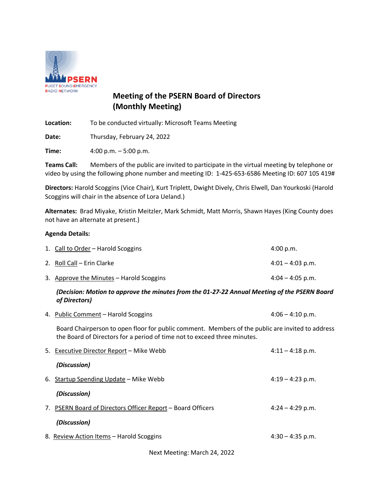

# **Meeting of the PSERN Board of Directors (Monthly Meeting)**

**Location:** To be conducted virtually: Microsoft Teams Meeting

**Date:** Thursday, February 24, 2022

**Time:** 4:00 p.m. – 5:00 p.m.

**Teams Call:** Members of the public are invited to participate in the virtual meeting by telephone or video by using the following phone number and meeting ID: 1-425-653-6586 Meeting ID: 607 105 419#

**Directors:** Harold Scoggins (Vice Chair), Kurt Triplett, Dwight Dively, Chris Elwell, Dan Yourkoski (Harold Scoggins will chair in the absence of Lora Ueland.)

**Alternates:** Brad Miyake, Kristin Meitzler, Mark Schmidt, Matt Morris, Shawn Hayes (King County does not have an alternate at present.)

#### **Agenda Details:**

| 1. Call to Order - Harold Scoggins       | 4:00 p.m.          |
|------------------------------------------|--------------------|
| 2. Roll Call – Erin Clarke               | $4:01 - 4:03$ p.m. |
| 3. Approve the Minutes – Harold Scoggins | $4:04 - 4:05$ p.m. |

#### *(Decision: Motion to approve the minutes from the 01-27-22 Annual Meeting of the PSERN Board of Directors)*

4. Public Comment – Harold Scoggins 4:06 – 4:10 p.m.

Board Chairperson to open floor for public comment. Members of the public are invited to address the Board of Directors for a period of time not to exceed three minutes.

| 5. Executive Director Report - Mike Webb                    | $4:11 - 4:18$ p.m. |
|-------------------------------------------------------------|--------------------|
| (Discussion)                                                |                    |
| 6. Startup Spending Update – Mike Webb                      | $4:19 - 4:23$ p.m. |
| (Discussion)                                                |                    |
| 7. PSERN Board of Directors Officer Report – Board Officers | $4:24 - 4:29$ p.m. |
| (Discussion)                                                |                    |
| 8. Review Action Items - Harold Scoggins                    | $4:30 - 4:35$ p.m. |
|                                                             |                    |

Next Meeting: March 24, 2022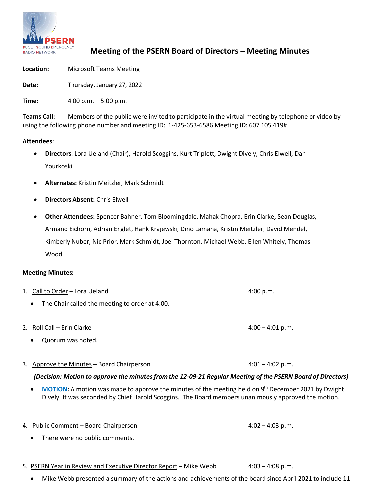

## **Meeting of the PSERN Board of Directors – Meeting Minutes**

**Location:** Microsoft Teams Meeting

**Date:** Thursday, January 27, 2022

**Time:** 4:00 p.m. – 5:00 p.m.

**Teams Call:** Members of the public were invited to participate in the virtual meeting by telephone or video by using the following phone number and meeting ID: 1-425-653-6586 Meeting ID: 607 105 419#

#### **Attendees**:

- **Directors:** Lora Ueland (Chair), Harold Scoggins, Kurt Triplett, Dwight Dively, Chris Elwell, Dan Yourkoski
- **Alternates:** Kristin Meitzler, Mark Schmidt
- **Directors Absent:** Chris Elwell
- **Other Attendees:** Spencer Bahner, Tom Bloomingdale, Mahak Chopra, Erin Clarke**,** Sean Douglas, Armand Eichorn, Adrian Englet, Hank Krajewski, Dino Lamana, Kristin Meitzler, David Mendel, Kimberly Nuber, Nic Prior, Mark Schmidt, Joel Thornton, Michael Webb, Ellen Whitely, Thomas Wood

#### **Meeting Minutes:**

- 1. Call to Order Lora Ueland **4:00 p.m.** 4:00 p.m. • The Chair called the meeting to order at 4:00.
- 2.  $\text{Roll Call} \text{Erin Clarke}$  4:00 4:01 p.m.
	- Quorum was noted.
- 3. Approve the Minutes Board Chairperson  $4:01 4:02$  p.m.

## *(Decision: Motion to approve the minutesfrom the 12-09-21 Regular Meeting of the PSERN Board of Directors)*

**MOTION:** A motion was made to approve the minutes of the meeting held on 9<sup>th</sup> December 2021 by Dwight Dively. It was seconded by Chief Harold Scoggins. The Board members unanimously approved the motion.

4. Public Comment – Board Chairperson 4:02 – 4:03 p.m.

- There were no public comments.
- 5. PSERN Year in Review and Executive Director Report Mike Webb 4:03 4:08 p.m.

• Mike Webb presented a summary of the actions and achievements of the board since April 2021 to include 11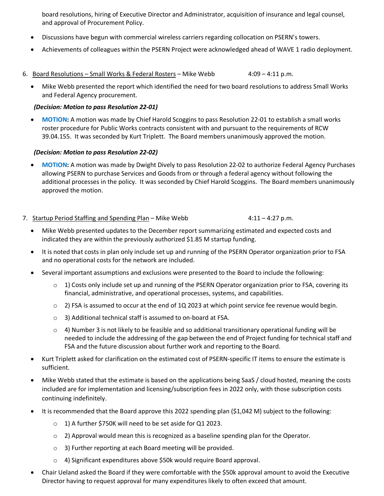board resolutions, hiring of Executive Director and Administrator, acquisition of insurance and legal counsel, and approval of Procurement Policy.

- Discussions have begun with commercial wireless carriers regarding collocation on PSERN's towers.
- Achievements of colleagues within the PSERN Project were acknowledged ahead of WAVE 1 radio deployment.
- 6. Board Resolutions Small Works & Federal Rosters Mike Webb  $4:09 4:11$  p.m.
	- Mike Webb presented the report which identified the need for two board resolutions to address Small Works and Federal Agency procurement.

### *(Decision: Motion to pass Resolution 22-01)*

• **MOTION:** A motion was made by Chief Harold Scoggins to pass Resolution 22-01 to establish a small works roster procedure for Public Works contracts consistent with and pursuant to the requirements of RCW 39.04.155. It was seconded by Kurt Triplett. The Board members unanimously approved the motion.

#### *(Decision: Motion to pass Resolution 22-02)*

• **MOTION:** A motion was made by Dwight Dively to pass Resolution 22-02 to authorize Federal Agency Purchases allowing PSERN to purchase Services and Goods from or through a federal agency without following the additional processes in the policy. It was seconded by Chief Harold Scoggins. The Board members unanimously approved the motion.

#### 7. Startup Period Staffing and Spending Plan – Mike Webb  $4:11 - 4:27$  p.m.

- Mike Webb presented updates to the December report summarizing estimated and expected costs and indicated they are within the previously authorized \$1.85 M startup funding.
- It is noted that costs in plan only include set up and running of the PSERN Operator organization prior to FSA and no operational costs for the network are included.
- Several important assumptions and exclusions were presented to the Board to include the following:
	- $\circ$  1) Costs only include set up and running of the PSERN Operator organization prior to FSA, covering its financial, administrative, and operational processes, systems, and capabilities.
	- $\circ$  2) FSA is assumed to occur at the end of 1Q 2023 at which point service fee revenue would begin.
	- o 3) Additional technical staff is assumed to on-board at FSA.
	- $\circ$  4) Number 3 is not likely to be feasible and so additional transitionary operational funding will be needed to include the addressing of the gap between the end of Project funding for technical staff and FSA and the future discussion about further work and reporting to the Board.
- Kurt Triplett asked for clarification on the estimated cost of PSERN-specific IT items to ensure the estimate is sufficient.
- Mike Webb stated that the estimate is based on the applications being SaaS / cloud hosted, meaning the costs included are for implementation and licensing/subscription fees in 2022 only, with those subscription costs continuing indefinitely.
- It is recommended that the Board approve this 2022 spending plan (\$1,042 M) subject to the following:
	- o 1) A further \$750K will need to be set aside for Q1 2023.
	- $\circ$  2) Approval would mean this is recognized as a baseline spending plan for the Operator.
	- o 3) Further reporting at each Board meeting will be provided.
	- o 4) Significant expenditures above \$50k would require Board approval.
- Chair Ueland asked the Board if they were comfortable with the \$50k approval amount to avoid the Executive Director having to request approval for many expenditures likely to often exceed that amount.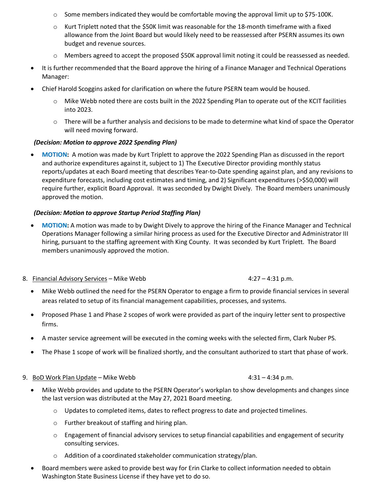- $\circ$  Some members indicated they would be comfortable moving the approval limit up to \$75-100K.
- $\circ$  Kurt Triplett noted that the \$50K limit was reasonable for the 18-month timeframe with a fixed allowance from the Joint Board but would likely need to be reassessed after PSERN assumes its own budget and revenue sources.
- $\circ$  Members agreed to accept the proposed \$50K approval limit noting it could be reassessed as needed.
- It is further recommended that the Board approve the hiring of a Finance Manager and Technical Operations Manager:
- Chief Harold Scoggins asked for clarification on where the future PSERN team would be housed.
	- Mike Webb noted there are costs built in the 2022 Spending Plan to operate out of the KCIT facilities into 2023.
	- $\circ$  There will be a further analysis and decisions to be made to determine what kind of space the Operator will need moving forward.

#### *(Decision: Motion to approve 2022 Spending Plan)*

• **MOTION:** A motion was made by Kurt Triplett to approve the 2022 Spending Plan as discussed in the report and authorize expenditures against it, subject to 1) The Executive Director providing monthly status reports/updates at each Board meeting that describes Year-to-Date spending against plan, and any revisions to expenditure forecasts, including cost estimates and timing, and 2) Significant expenditures (>\$50,000) will require further, explicit Board Approval. It was seconded by Dwight Dively. The Board members unanimously approved the motion.

#### *(Decision: Motion to approve Startup Period Staffing Plan)*

- **MOTION:** A motion was made to by Dwight Dively to approve the hiring of the Finance Manager and Technical Operations Manager following a similar hiring process as used for the Executive Director and Administrator III hiring, pursuant to the staffing agreement with King County. It was seconded by Kurt Triplett. The Board members unanimously approved the motion.
- 8. Financial Advisory Services Mike Webb 4:27 4:31 p.m.
	- Mike Webb outlined the need for the PSERN Operator to engage a firm to provide financial services in several areas related to setup of its financial management capabilities, processes, and systems.
	- Proposed Phase 1 and Phase 2 scopes of work were provided as part of the inquiry letter sent to prospective firms.
	- A master service agreement will be executed in the coming weeks with the selected firm, Clark Nuber PS.
	- The Phase 1 scope of work will be finalized shortly, and the consultant authorized to start that phase of work.

#### 9. BoD Work Plan Update – Mike Webb  $4:31 - 4:34$  p.m.

- Mike Webb provides and update to the PSERN Operator's workplan to show developments and changes since the last version was distributed at the May 27, 2021 Board meeting.
	- $\circ$  Updates to completed items, dates to reflect progress to date and projected timelines.
	- o Further breakout of staffing and hiring plan.
	- o Engagement of financial advisory services to setup financial capabilities and engagement of security consulting services.
	- Addition of a coordinated stakeholder communication strategy/plan.
- Board members were asked to provide best way for Erin Clarke to collect information needed to obtain Washington State Business License if they have yet to do so.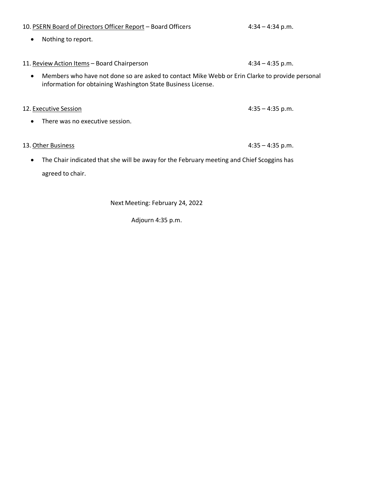# 11. Review Action Items - Board Chairperson **11. Review A:34 - 4:35 p.m.** • Members who have not done so are asked to contact Mike Webb or Erin Clarke to provide personal information for obtaining Washington State Business License. 12. Executive Session **4:35** – 4:35 p.m. • There was no executive session. 13. <u>Other Business</u> 2:35 p.m.

• The Chair indicated that she will be away for the February meeting and Chief Scoggins has agreed to chair.

Next Meeting: February 24, 2022

Adjourn 4:35 p.m.

# 10. PSERN Board of Directors Officer Report – Board Officers 4:34 – 4:34 p.m.

• Nothing to report.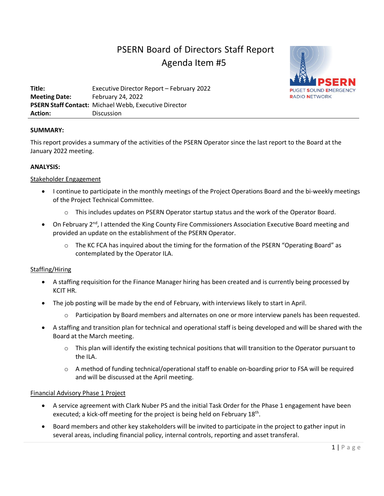# PSERN Board of Directors Staff Report Agenda Item #5



**Title:** Executive Director Report – February 2022 **Meeting Date:** February 24, 2022 **PSERN Staff Contact:** Michael Webb, Executive Director **Action:** Discussion

#### **SUMMARY:**

This report provides a summary of the activities of the PSERN Operator since the last report to the Board at the January 2022 meeting.

#### **ANALYSIS:**

#### Stakeholder Engagement

- I continue to participate in the monthly meetings of the Project Operations Board and the bi-weekly meetings of the Project Technical Committee.
	- $\circ$  This includes updates on PSERN Operator startup status and the work of the Operator Board.
- On February 2<sup>nd</sup>, I attended the King County Fire Commissioners Association Executive Board meeting and provided an update on the establishment of the PSERN Operator.
	- $\circ$  The KC FCA has inquired about the timing for the formation of the PSERN "Operating Board" as contemplated by the Operator ILA.

#### Staffing/Hiring

- A staffing requisition for the Finance Manager hiring has been created and is currently being processed by KCIT HR.
- The job posting will be made by the end of February, with interviews likely to start in April.
	- o Participation by Board members and alternates on one or more interview panels has been requested.
- A staffing and transition plan for technical and operational staff is being developed and will be shared with the Board at the March meeting.
	- $\circ$  This plan will identify the existing technical positions that will transition to the Operator pursuant to the ILA.
	- o A method of funding technical/operational staff to enable on-boarding prior to FSA will be required and will be discussed at the April meeting.

#### Financial Advisory Phase 1 Project

- A service agreement with Clark Nuber PS and the initial Task Order for the Phase 1 engagement have been executed; a kick-off meeting for the project is being held on February 18<sup>th</sup>.
- Board members and other key stakeholders will be invited to participate in the project to gather input in several areas, including financial policy, internal controls, reporting and asset transferal.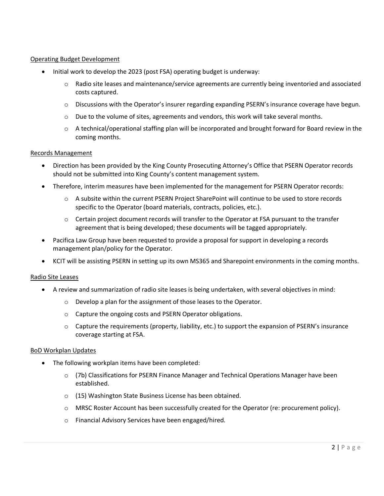#### Operating Budget Development

- Initial work to develop the 2023 (post FSA) operating budget is underway:
	- $\circ$  Radio site leases and maintenance/service agreements are currently being inventoried and associated costs captured.
	- $\circ$  Discussions with the Operator's insurer regarding expanding PSERN's insurance coverage have begun.
	- $\circ$  Due to the volume of sites, agreements and vendors, this work will take several months.
	- $\circ$  A technical/operational staffing plan will be incorporated and brought forward for Board review in the coming months.

#### Records Management

- Direction has been provided by the King County Prosecuting Attorney's Office that PSERN Operator records should not be submitted into King County's content management system.
- Therefore, interim measures have been implemented for the management for PSERN Operator records:
	- o A subsite within the current PSERN Project SharePoint will continue to be used to store records specific to the Operator (board materials, contracts, policies, etc.).
	- $\circ$  Certain project document records will transfer to the Operator at FSA pursuant to the transfer agreement that is being developed; these documents will be tagged appropriately.
- Pacifica Law Group have been requested to provide a proposal for support in developing a records management plan/policy for the Operator.
- KCIT will be assisting PSERN in setting up its own MS365 and Sharepoint environments in the coming months.

#### Radio Site Leases

- A review and summarization of radio site leases is being undertaken, with several objectives in mind:
	- o Develop a plan for the assignment of those leases to the Operator.
	- o Capture the ongoing costs and PSERN Operator obligations.
	- $\circ$  Capture the requirements (property, liability, etc.) to support the expansion of PSERN's insurance coverage starting at FSA.

#### BoD Workplan Updates

- The following workplan items have been completed:
	- o (7b) Classifications for PSERN Finance Manager and Technical Operations Manager have been established.
	- o (15) Washington State Business License has been obtained.
	- o MRSC Roster Account has been successfully created for the Operator (re: procurement policy).
	- o Financial Advisory Services have been engaged/hired.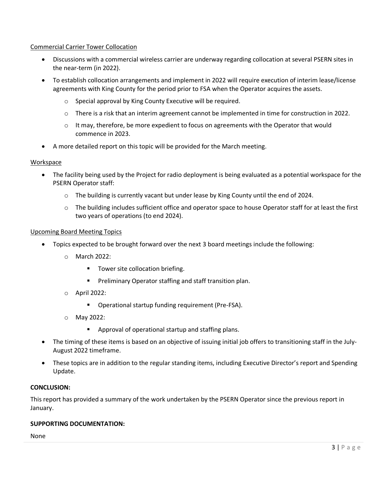#### Commercial Carrier Tower Collocation

- Discussions with a commercial wireless carrier are underway regarding collocation at several PSERN sites in the near-term (in 2022).
- To establish collocation arrangements and implement in 2022 will require execution of interim lease/license agreements with King County for the period prior to FSA when the Operator acquires the assets.
	- o Special approval by King County Executive will be required.
	- o There is a risk that an interim agreement cannot be implemented in time for construction in 2022.
	- $\circ$  It may, therefore, be more expedient to focus on agreements with the Operator that would commence in 2023.
- A more detailed report on this topic will be provided for the March meeting.

#### **Workspace**

- The facility being used by the Project for radio deployment is being evaluated as a potential workspace for the PSERN Operator staff:
	- $\circ$  The building is currently vacant but under lease by King County until the end of 2024.
	- $\circ$  The building includes sufficient office and operator space to house Operator staff for at least the first two years of operations (to end 2024).

#### Upcoming Board Meeting Topics

- Topics expected to be brought forward over the next 3 board meetings include the following:
	- o March 2022:
		- **Tower site collocation briefing.**
		- Preliminary Operator staffing and staff transition plan.
	- o April 2022:
		- **•** Operational startup funding requirement (Pre-FSA).
	- o May 2022:
		- **Approval of operational startup and staffing plans.**
- The timing of these items is based on an objective of issuing initial job offers to transitioning staff in the July-August 2022 timeframe.
- These topics are in addition to the regular standing items, including Executive Director's report and Spending Update.

#### **CONCLUSION:**

This report has provided a summary of the work undertaken by the PSERN Operator since the previous report in January.

#### **SUPPORTING DOCUMENTATION:**

None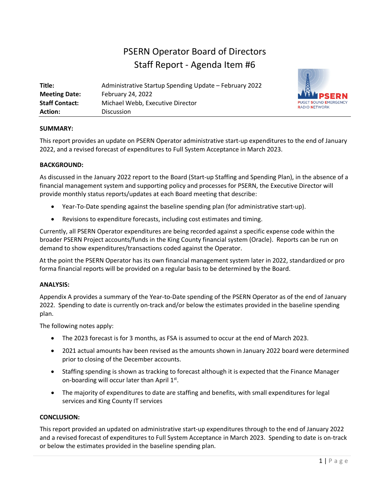# PSERN Operator Board of Directors Staff Report - Agenda Item #6

| Title:                | Administrative Startup Spending Update - February 2022 |  |  |  |  |  |  |  |
|-----------------------|--------------------------------------------------------|--|--|--|--|--|--|--|
| <b>Meeting Date:</b>  | <b>February 24, 2022</b>                               |  |  |  |  |  |  |  |
| <b>Staff Contact:</b> | Michael Webb, Executive Director                       |  |  |  |  |  |  |  |
| <b>Action:</b>        | <b>Discussion</b>                                      |  |  |  |  |  |  |  |



#### **SUMMARY:**

This report provides an update on PSERN Operator administrative start-up expenditures to the end of January 2022, and a revised forecast of expenditures to Full System Acceptance in March 2023.

#### **BACKGROUND:**

As discussed in the January 2022 report to the Board (Start-up Staffing and Spending Plan), in the absence of a financial management system and supporting policy and processes for PSERN, the Executive Director will provide monthly status reports/updates at each Board meeting that describe:

- Year-To-Date spending against the baseline spending plan (for administrative start-up).
- Revisions to expenditure forecasts, including cost estimates and timing.

Currently, all PSERN Operator expenditures are being recorded against a specific expense code within the broader PSERN Project accounts/funds in the King County financial system (Oracle). Reports can be run on demand to show expenditures/transactions coded against the Operator.

At the point the PSERN Operator has its own financial management system later in 2022, standardized or pro forma financial reports will be provided on a regular basis to be determined by the Board.

#### **ANALYSIS:**

Appendix A provides a summary of the Year-to-Date spending of the PSERN Operator as of the end of January 2022. Spending to date is currently on-track and/or below the estimates provided in the baseline spending plan.

The following notes apply:

- The 2023 forecast is for 3 months, as FSA is assumed to occur at the end of March 2023.
- 2021 actual amounts hav been revised as the amounts shown in January 2022 board were determined prior to closing of the December accounts.
- Staffing spending is shown as tracking to forecast although it is expected that the Finance Manager on-boarding will occur later than April  $1<sup>st</sup>$ .
- The majority of expenditures to date are staffing and benefits, with small expenditures for legal services and King County IT services

#### **CONCLUSION:**

This report provided an updated on administrative start-up expenditures through to the end of January 2022 and a revised forecast of expenditures to Full System Acceptance in March 2023. Spending to date is on-track or below the estimates provided in the baseline spending plan.